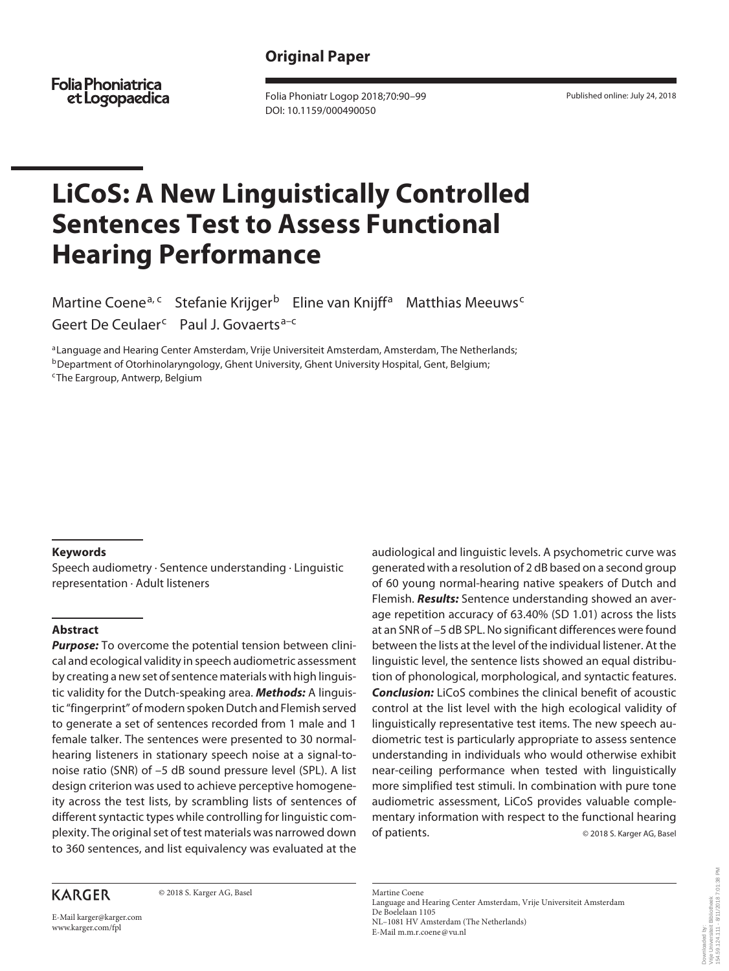# **Original Paper**

**Folia Phoniatrica** et Logopaedica

Folia Phoniatr Logop 2018;70:90–99 DOI: 10.1159/000490050

Published online: July 24, 2018

# **LiCoS: A New Linguistically Controlled Sentences Test to Assess Functional Hearing Performance**

Martine Coene<sup>a, c</sup> Stefanie Krijger<sup>b</sup> Eline van Knijff<sup>a</sup> Matthias Meeuws<sup>c</sup> Geert De Ceulaer<sup>c</sup> Paul J. Govaerts<sup>a-c</sup>

aLanguage and Hearing Center Amsterdam, Vrije Universiteit Amsterdam, Amsterdam, The Netherlands; <sup>b</sup>Department of Otorhinolaryngology, Ghent University, Ghent University Hospital, Gent, Belgium; cThe Eargroup, Antwerp, Belgium

#### **Keywords**

Speech audiometry · Sentence understanding · Linguistic representation · Adult listeners

#### **Abstract**

*Purpose:* To overcome the potential tension between clinical and ecological validity in speech audiometric assessment by creating a new set of sentence materials with high linguistic validity for the Dutch-speaking area. *Methods:* A linguistic "fingerprint" of modern spoken Dutch and Flemish served to generate a set of sentences recorded from 1 male and 1 female talker. The sentences were presented to 30 normalhearing listeners in stationary speech noise at a signal-tonoise ratio (SNR) of –5 dB sound pressure level (SPL). A list design criterion was used to achieve perceptive homogeneity across the test lists, by scrambling lists of sentences of different syntactic types while controlling for linguistic complexity. The original set of test materials was narrowed down to 360 sentences, and list equivalency was evaluated at the

# **KARGER**

© 2018 S. Karger AG, Basel

E-Mail karger@karger.com www.karger.com/fpl

audiological and linguistic levels. A psychometric curve was generated with a resolution of 2 dB based on a second group of 60 young normal-hearing native speakers of Dutch and Flemish. *Results:* Sentence understanding showed an average repetition accuracy of 63.40% (SD 1.01) across the lists at an SNR of –5 dB SPL. No significant differences were found between the lists at the level of the individual listener. At the linguistic level, the sentence lists showed an equal distribution of phonological, morphological, and syntactic features. *Conclusion:* LiCoS combines the clinical benefit of acoustic control at the list level with the high ecological validity of linguistically representative test items. The new speech audiometric test is particularly appropriate to assess sentence understanding in individuals who would otherwise exhibit near-ceiling performance when tested with linguistically more simplified test stimuli. In combination with pure tone audiometric assessment, LiCoS provides valuable complementary information with respect to the functional hearing of patients. © 2018 S. Karger AG, Basel

Downloaded by:

Martine Coene Language and Hearing Center Amsterdam, Vrije Universiteit Amsterdam De Boelelaan 1105 NL–1081 HV Amsterdam (The Netherlands) E-Mail m.m.r.coene@vu.nl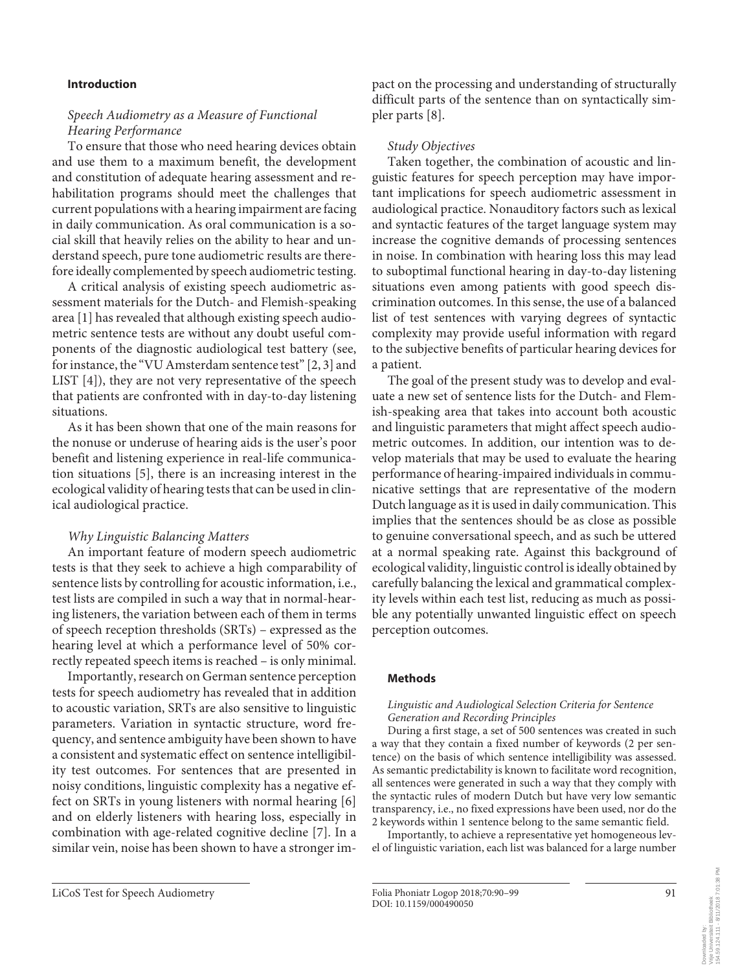## **Introduction**

# *Speech Audiometry as a Measure of Functional Hearing Performance*

To ensure that those who need hearing devices obtain and use them to a maximum benefit, the development and constitution of adequate hearing assessment and rehabilitation programs should meet the challenges that current populations with a hearing impairment are facing in daily communication. As oral communication is a social skill that heavily relies on the ability to hear and understand speech, pure tone audiometric results are therefore ideally complemented by speech audiometric testing.

A critical analysis of existing speech audiometric assessment materials for the Dutch- and Flemish-speaking area [1] has revealed that although existing speech audiometric sentence tests are without any doubt useful components of the diagnostic audiological test battery (see, for instance, the "VU Amsterdam sentence test" [2, 3] and LIST [4]), they are not very representative of the speech that patients are confronted with in day-to-day listening situations.

As it has been shown that one of the main reasons for the nonuse or underuse of hearing aids is the user's poor benefit and listening experience in real-life communication situations [5], there is an increasing interest in the ecological validity of hearing tests that can be used in clinical audiological practice.

#### *Why Linguistic Balancing Matters*

An important feature of modern speech audiometric tests is that they seek to achieve a high comparability of sentence lists by controlling for acoustic information, i.e., test lists are compiled in such a way that in normal-hearing listeners, the variation between each of them in terms of speech reception thresholds (SRTs) – expressed as the hearing level at which a performance level of 50% correctly repeated speech items is reached – is only minimal.

Importantly, research on German sentence perception tests for speech audiometry has revealed that in addition to acoustic variation, SRTs are also sensitive to linguistic parameters. Variation in syntactic structure, word frequency, and sentence ambiguity have been shown to have a consistent and systematic effect on sentence intelligibility test outcomes. For sentences that are presented in noisy conditions, linguistic complexity has a negative effect on SRTs in young listeners with normal hearing [6] and on elderly listeners with hearing loss, especially in combination with age-related cognitive decline [7]. In a similar vein, noise has been shown to have a stronger im-

LiCoS Test for Speech Audiometry Folia Phoniatr Logop 2018;70:90–99 91

pact on the processing and understanding of structurally difficult parts of the sentence than on syntactically simpler parts [8].

#### *Study Objectives*

Taken together, the combination of acoustic and linguistic features for speech perception may have important implications for speech audiometric assessment in audiological practice. Nonauditory factors such as lexical and syntactic features of the target language system may increase the cognitive demands of processing sentences in noise. In combination with hearing loss this may lead to suboptimal functional hearing in day-to-day listening situations even among patients with good speech discrimination outcomes. In this sense, the use of a balanced list of test sentences with varying degrees of syntactic complexity may provide useful information with regard to the subjective benefits of particular hearing devices for a patient.

The goal of the present study was to develop and evaluate a new set of sentence lists for the Dutch- and Flemish-speaking area that takes into account both acoustic and linguistic parameters that might affect speech audiometric outcomes. In addition, our intention was to develop materials that may be used to evaluate the hearing performance of hearing-impaired individuals in communicative settings that are representative of the modern Dutch language as it is used in daily communication. This implies that the sentences should be as close as possible to genuine conversational speech, and as such be uttered at a normal speaking rate. Against this background of ecological validity, linguistic control is ideally obtained by carefully balancing the lexical and grammatical complexity levels within each test list, reducing as much as possible any potentially unwanted linguistic effect on speech perception outcomes.

#### **Methods**

#### *Linguistic and Audiological Selection Criteria for Sentence Generation and Recording Principles*

During a first stage, a set of 500 sentences was created in such a way that they contain a fixed number of keywords (2 per sentence) on the basis of which sentence intelligibility was assessed. As semantic predictability is known to facilitate word recognition, all sentences were generated in such a way that they comply with the syntactic rules of modern Dutch but have very low semantic transparency, i.e., no fixed expressions have been used, nor do the 2 keywords within 1 sentence belong to the same semantic field.

Importantly, to achieve a representative yet homogeneous level of linguistic variation, each list was balanced for a large number

154.59.124.111 - 8/11/2018 7:01:38 PM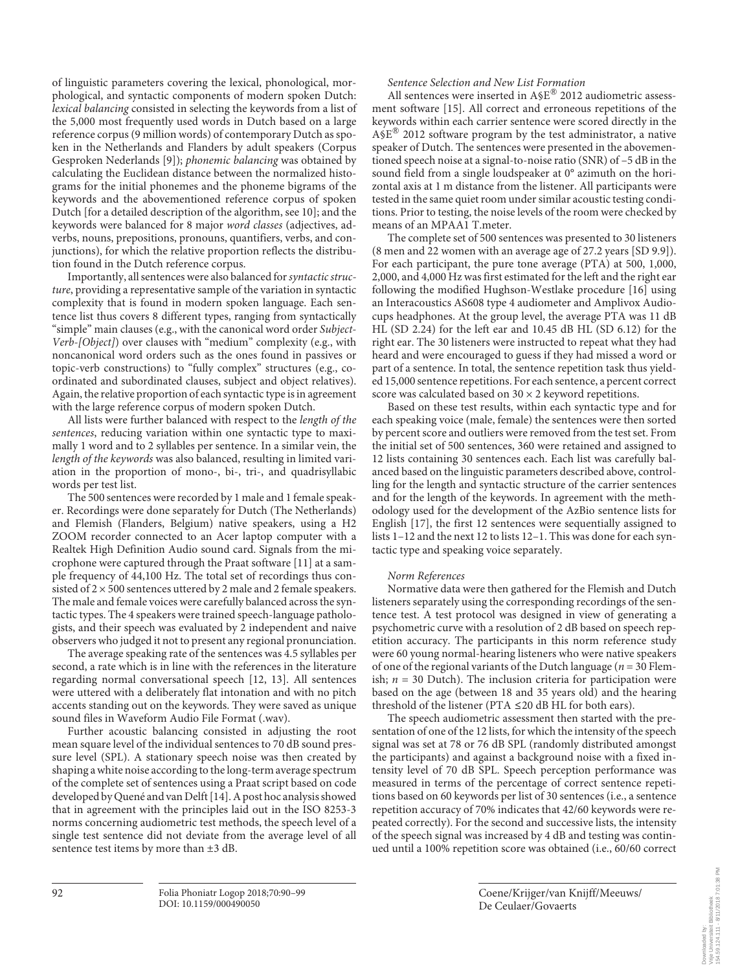of linguistic parameters covering the lexical, phonological, morphological, and syntactic components of modern spoken Dutch: *lexical balancing* consisted in selecting the keywords from a list of the 5,000 most frequently used words in Dutch based on a large reference corpus (9 million words) of contemporary Dutch as spoken in the Netherlands and Flanders by adult speakers (Corpus Gesproken Nederlands [9]); *phonemic balancing* was obtained by calculating the Euclidean distance between the normalized histograms for the initial phonemes and the phoneme bigrams of the keywords and the abovementioned reference corpus of spoken Dutch [for a detailed description of the algorithm, see 10]; and the keywords were balanced for 8 major *word classes* (adjectives, adverbs, nouns, prepositions, pronouns, quantifiers, verbs, and conjunctions), for which the relative proportion reflects the distribution found in the Dutch reference corpus.

Importantly, all sentences were also balanced for *syntactic structure*, providing a representative sample of the variation in syntactic complexity that is found in modern spoken language. Each sentence list thus covers 8 different types, ranging from syntactically "simple" main clauses (e.g., with the canonical word order *Subject-Verb-[Object]*) over clauses with "medium" complexity (e.g., with noncanonical word orders such as the ones found in passives or topic-verb constructions) to "fully complex" structures (e.g., coordinated and subordinated clauses, subject and object relatives). Again, the relative proportion of each syntactic type is in agreement with the large reference corpus of modern spoken Dutch.

All lists were further balanced with respect to the *length of the sentences*, reducing variation within one syntactic type to maximally 1 word and to 2 syllables per sentence. In a similar vein, the *length of the keywords* was also balanced, resulting in limited variation in the proportion of mono-, bi-, tri-, and quadrisyllabic words per test list.

The 500 sentences were recorded by 1 male and 1 female speaker. Recordings were done separately for Dutch (The Netherlands) and Flemish (Flanders, Belgium) native speakers, using a H2 ZOOM recorder connected to an Acer laptop computer with a Realtek High Definition Audio sound card. Signals from the microphone were captured through the Praat software [11] at a sample frequency of 44,100 Hz. The total set of recordings thus consisted of  $2 \times 500$  sentences uttered by 2 male and 2 female speakers. The male and female voices were carefully balanced across the syntactic types. The 4 speakers were trained speech-language pathologists, and their speech was evaluated by 2 independent and naive observers who judged it not to present any regional pronunciation.

The average speaking rate of the sentences was 4.5 syllables per second, a rate which is in line with the references in the literature regarding normal conversational speech [12, 13]. All sentences were uttered with a deliberately flat intonation and with no pitch accents standing out on the keywords. They were saved as unique sound files in Waveform Audio File Format (.wav).

Further acoustic balancing consisted in adjusting the root mean square level of the individual sentences to 70 dB sound pressure level (SPL). A stationary speech noise was then created by shaping a white noise according to the long-term average spectrum of the complete set of sentences using a Praat script based on code developed by Quené and van Delft [14]. A post hoc analysis showed that in agreement with the principles laid out in the ISO 8253-3 norms concerning audiometric test methods, the speech level of a single test sentence did not deviate from the average level of all sentence test items by more than ±3 dB.

#### *Sentence Selection and New List Formation*

All sentences were inserted in A§E® 2012 audiometric assessment software [15]. All correct and erroneous repetitions of the keywords within each carrier sentence were scored directly in the A§E® 2012 software program by the test administrator, a native speaker of Dutch. The sentences were presented in the abovementioned speech noise at a signal-to-noise ratio (SNR) of –5 dB in the sound field from a single loudspeaker at 0° azimuth on the horizontal axis at 1 m distance from the listener. All participants were tested in the same quiet room under similar acoustic testing conditions. Prior to testing, the noise levels of the room were checked by means of an MPAA1 T.meter.

The complete set of 500 sentences was presented to 30 listeners (8 men and 22 women with an average age of 27.2 years [SD 9.9]). For each participant, the pure tone average (PTA) at 500, 1,000, 2,000, and 4,000 Hz was first estimated for the left and the right ear following the modified Hughson-Westlake procedure [16] using an Interacoustics AS608 type 4 audiometer and Amplivox Audiocups headphones. At the group level, the average PTA was 11 dB HL (SD 2.24) for the left ear and 10.45 dB HL (SD 6.12) for the right ear. The 30 listeners were instructed to repeat what they had heard and were encouraged to guess if they had missed a word or part of a sentence. In total, the sentence repetition task thus yielded 15,000 sentence repetitions. For each sentence, a percent correct score was calculated based on  $30 \times 2$  keyword repetitions.

Based on these test results, within each syntactic type and for each speaking voice (male, female) the sentences were then sorted by percent score and outliers were removed from the test set. From the initial set of 500 sentences, 360 were retained and assigned to 12 lists containing 30 sentences each. Each list was carefully balanced based on the linguistic parameters described above, controlling for the length and syntactic structure of the carrier sentences and for the length of the keywords. In agreement with the methodology used for the development of the AzBio sentence lists for English [17], the first 12 sentences were sequentially assigned to lists 1–12 and the next 12 to lists 12–1. This was done for each syntactic type and speaking voice separately.

#### *Norm References*

Normative data were then gathered for the Flemish and Dutch listeners separately using the corresponding recordings of the sentence test. A test protocol was designed in view of generating a psychometric curve with a resolution of 2 dB based on speech repetition accuracy. The participants in this norm reference study were 60 young normal-hearing listeners who were native speakers of one of the regional variants of the Dutch language (*n* = 30 Flemish;  $n = 30$  Dutch). The inclusion criteria for participation were based on the age (between 18 and 35 years old) and the hearing threshold of the listener (PTA ≤20 dB HL for both ears).

The speech audiometric assessment then started with the presentation of one of the 12 lists, for which the intensity of the speech signal was set at 78 or 76 dB SPL (randomly distributed amongst the participants) and against a background noise with a fixed intensity level of 70 dB SPL. Speech perception performance was measured in terms of the percentage of correct sentence repetitions based on 60 keywords per list of 30 sentences (i.e., a sentence repetition accuracy of 70% indicates that 42/60 keywords were repeated correctly). For the second and successive lists, the intensity of the speech signal was increased by 4 dB and testing was continued until a 100% repetition score was obtained (i.e., 60/60 correct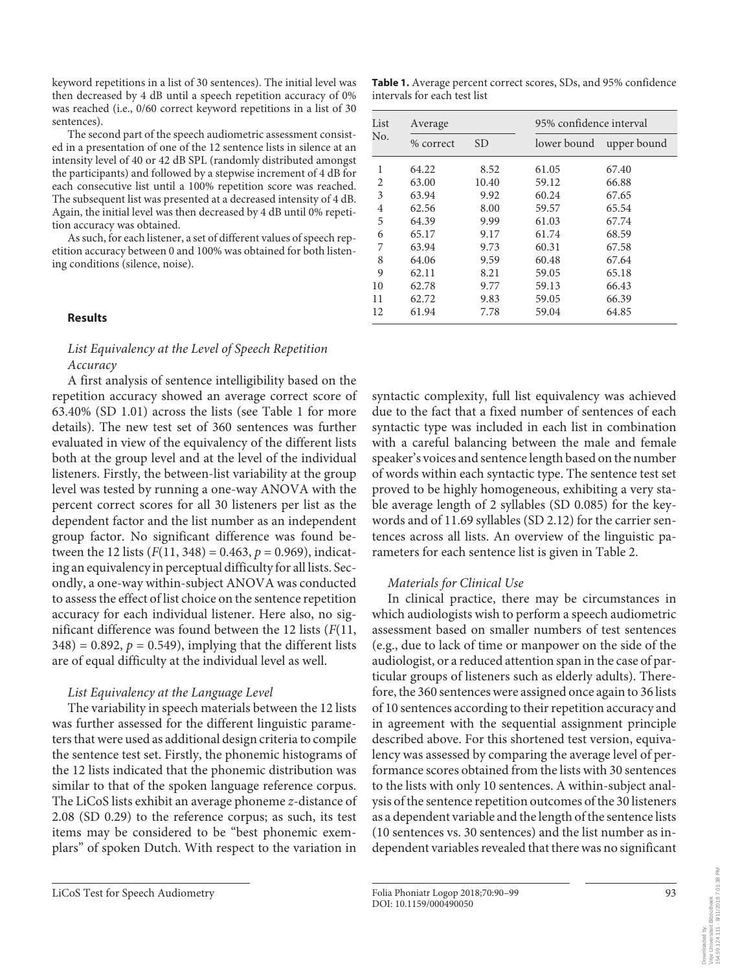keyword repetitions in a list of 30 sentences). The initial level was then decreased by 4 dB until a speech repetition accuracy of 0% was reached (i.e., 0/60 correct keyword repetitions in a list of 30 sentences).

The second part of the speech audiometric assessment consisted in a presentation of one of the 12 sentence lists in silence at an intensity level of 40 or 42 dB SPL (randomly distributed amongst the participants) and followed by a stepwise increment of 4 dB for each consecutive list until a 100% repetition score was reached. The subsequent list was presented at a decreased intensity of 4 dB. Again, the initial level was then decreased by 4 dB until 0% repetition accuracy was obtained.

As such, for each listener, a set of different values of speech repetition accuracy between 0 and 100% was obtained for both listening conditions (silence, noise).

#### **Results**

# *List Equivalency at the Level of Speech Repetition Accuracy*

A first analysis of sentence intelligibility based on the repetition accuracy showed an average correct score of 63.40% (SD 1.01) across the lists (see Table 1 for more details). The new test set of 360 sentences was further evaluated in view of the equivalency of the different lists both at the group level and at the level of the individual listeners. Firstly, the between-list variability at the group level was tested by running a one-way ANOVA with the percent correct scores for all 30 listeners per list as the dependent factor and the list number as an independent group factor. No significant difference was found between the 12 lists  $(F(11, 348) = 0.463, p = 0.969)$ , indicating an equivalency in perceptual difficulty for all lists. Secondly, a one-way within-subject ANOVA was conducted to assess the effect of list choice on the sentence repetition accuracy for each individual listener. Here also, no significant difference was found between the 12 lists (*F*(11,  $348$ ) = 0.892,  $p = 0.549$ ), implying that the different lists are of equal difficulty at the individual level as well.

#### *List Equivalency at the Language Level*

The variability in speech materials between the 12 lists was further assessed for the different linguistic parameters that were used as additional design criteria to compile the sentence test set. Firstly, the phonemic histograms of the 12 lists indicated that the phonemic distribution was similar to that of the spoken language reference corpus. The LiCoS lists exhibit an average phoneme *z*-distance of 2.08 (SD 0.29) to the reference corpus; as such, its test items may be considered to be "best phonemic exemplars" of spoken Dutch. With respect to the variation in

**Table 1.** Average percent correct scores, SDs, and 95% confidence intervals for each test list

| List | Average   |           | 95% confidence interval |             |
|------|-----------|-----------|-------------------------|-------------|
| No.  | % correct | <b>SD</b> | lower bound             | upper bound |
| 1    | 64.22     | 8.52      | 61.05                   | 67.40       |
| 2    | 63.00     | 10.40     | 59.12                   | 66.88       |
| 3    | 63.94     | 9.92      | 60.24                   | 67.65       |
| 4    | 62.56     | 8.00      | 59.57                   | 65.54       |
| 5    | 64.39     | 9.99      | 61.03                   | 67.74       |
| 6    | 65.17     | 9.17      | 61.74                   | 68.59       |
| 7    | 63.94     | 9.73      | 60.31                   | 67.58       |
| 8    | 64.06     | 9.59      | 60.48                   | 67.64       |
| 9    | 62.11     | 8.21      | 59.05                   | 65.18       |
| 10   | 62.78     | 9.77      | 59.13                   | 66.43       |
| 11   | 62.72     | 9.83      | 59.05                   | 66.39       |
| 12   | 61.94     | 7.78      | 59.04                   | 64.85       |

syntactic complexity, full list equivalency was achieved due to the fact that a fixed number of sentences of each syntactic type was included in each list in combination with a careful balancing between the male and female speaker's voices and sentence length based on the number of words within each syntactic type. The sentence test set proved to be highly homogeneous, exhibiting a very stable average length of 2 syllables (SD 0.085) for the keywords and of 11.69 syllables (SD 2.12) for the carrier sentences across all lists. An overview of the linguistic parameters for each sentence list is given in Table 2.

# *Materials for Clinical Use*

In clinical practice, there may be circumstances in which audiologists wish to perform a speech audiometric assessment based on smaller numbers of test sentences (e.g., due to lack of time or manpower on the side of the audiologist, or a reduced attention span in the case of particular groups of listeners such as elderly adults). Therefore, the 360 sentences were assigned once again to 36 lists of 10 sentences according to their repetition accuracy and in agreement with the sequential assignment principle described above. For this shortened test version, equivalency was assessed by comparing the average level of performance scores obtained from the lists with 30 sentences to the lists with only 10 sentences. A within-subject analysis of the sentence repetition outcomes of the 30 listeners as a dependent variable and the length of the sentence lists (10 sentences vs. 30 sentences) and the list number as independent variables revealed that there was no significant

154.59.124.111 - 8/11/2018 7:01:38 PM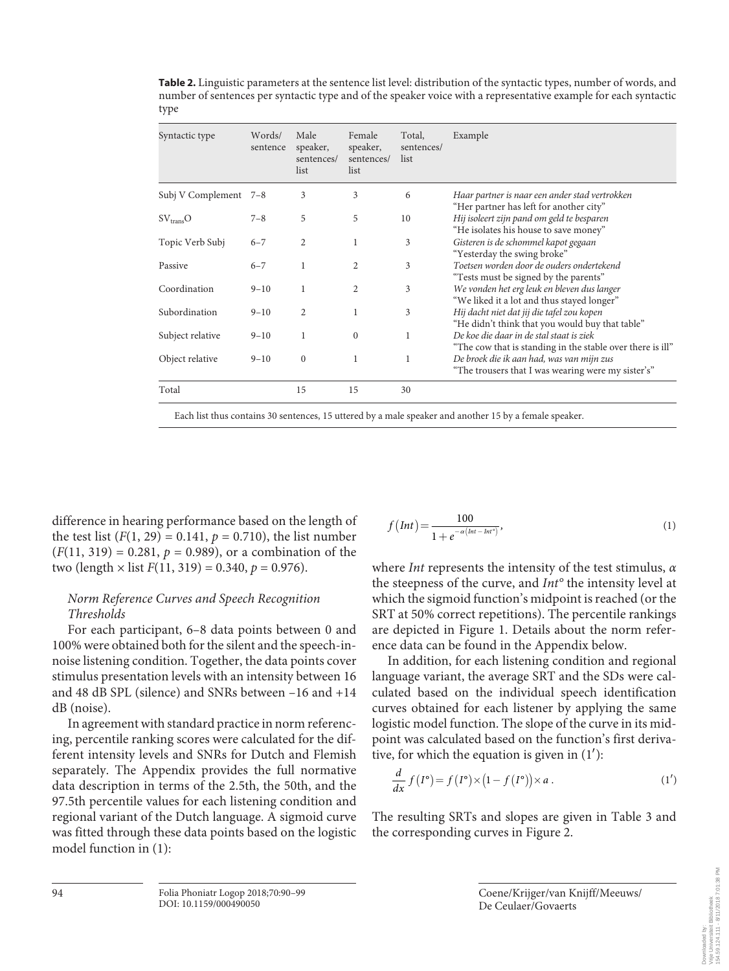**Table 2.** Linguistic parameters at the sentence list level: distribution of the syntactic types, number of words, and number of sentences per syntactic type and of the speaker voice with a representative example for each syntactic type

| Syntactic type        | Words/<br>sentence | Male<br>speaker,<br>sentences/<br>list | Female<br>speaker,<br>sentences/<br>list | Total,<br>sentences/<br>list | Example                                                                                                |
|-----------------------|--------------------|----------------------------------------|------------------------------------------|------------------------------|--------------------------------------------------------------------------------------------------------|
| Subj V Complement 7-8 |                    | 3                                      | 3                                        | 6                            | Haar partner is naar een ander stad vertrokken<br>"Her partner has left for another city"              |
| $SV_{\text{trans}}O$  | $7 - 8$            | 5                                      | 5                                        | 10                           | Hij isoleert zijn pand om geld te besparen<br>"He isolates his house to save money"                    |
| Topic Verb Subj       | $6 - 7$            | 2                                      | 1                                        | 3                            | Gisteren is de schommel kapot gegaan<br>"Yesterday the swing broke"                                    |
| Passive               | $6 - 7$            | $\mathbf{1}$                           | 2                                        | 3                            | Toetsen worden door de ouders ondertekend<br>"Tests must be signed by the parents"                     |
| Coordination          | $9 - 10$           | 1                                      | 2                                        | 3                            | We vonden het erg leuk en bleven dus langer<br>"We liked it a lot and thus stayed longer"              |
| Subordination         | $9 - 10$           | $\overline{c}$                         | 1                                        | 3                            | Hij dacht niet dat jij die tafel zou kopen<br>"He didn't think that you would buy that table"          |
| Subject relative      | $9 - 10$           | 1                                      | $\mathbf{0}$                             | 1                            | De koe die daar in de stal staat is ziek<br>"The cow that is standing in the stable over there is ill" |
| Object relative       | $9 - 10$           | $\mathbf{0}$                           | $\mathbf{1}$                             | 1                            | De broek die ik aan had, was van mijn zus<br>"The trousers that I was wearing were my sister's"        |
| Total                 |                    | 15                                     | 15                                       | 30                           |                                                                                                        |

Each list thus contains 30 sentences, 15 uttered by a male speaker and another 15 by a female speaker.

difference in hearing performance based on the length of the test list  $(F(1, 29) = 0.141, p = 0.710)$ , the list number  $(F(11, 319) = 0.281, p = 0.989)$ , or a combination of the two (length  $\times$  list  $F(11, 319) = 0.340$ ,  $p = 0.976$ ).

# *Norm Reference Curves and Speech Recognition Thresholds*

For each participant, 6–8 data points between 0 and 100% were obtained both for the silent and the speech-innoise listening condition. Together, the data points cover stimulus presentation levels with an intensity between 16 and 48 dB SPL (silence) and SNRs between –16 and +14 dB (noise).

In agreement with standard practice in norm referencing, percentile ranking scores were calculated for the different intensity levels and SNRs for Dutch and Flemish separately. The Appendix provides the full normative data description in terms of the 2.5th, the 50th, and the 97.5th percentile values for each listening condition and regional variant of the Dutch language. A sigmoid curve was fitted through these data points based on the logistic model function in (1):

$$
f\left(Int\right) = \frac{100}{1 + e^{-\alpha\left(int - Int^{\circ}\right)}},\tag{1}
$$

where *Int* represents the intensity of the test stimulus, *α* the steepness of the curve, and *Int°* the intensity level at which the sigmoid function's midpoint is reached (or the SRT at 50% correct repetitions). The percentile rankings are depicted in Figure 1. Details about the norm reference data can be found in the Appendix below.

In addition, for each listening condition and regional language variant, the average SRT and the SDs were calculated based on the individual speech identification curves obtained for each listener by applying the same logistic model function. The slope of the curve in its midpoint was calculated based on the function's first derivative, for which the equation is given in (1′):

$$
\frac{d}{dx} f(I^{\circ}) = f(I^{\circ}) \times (1 - f(I^{\circ})) \times a . \tag{1'}
$$

The resulting SRTs and slopes are given in Table 3 and the corresponding curves in Figure 2.

Coene/Krijger/van Knijff/Meeuws/ De Ceulaer/Govaerts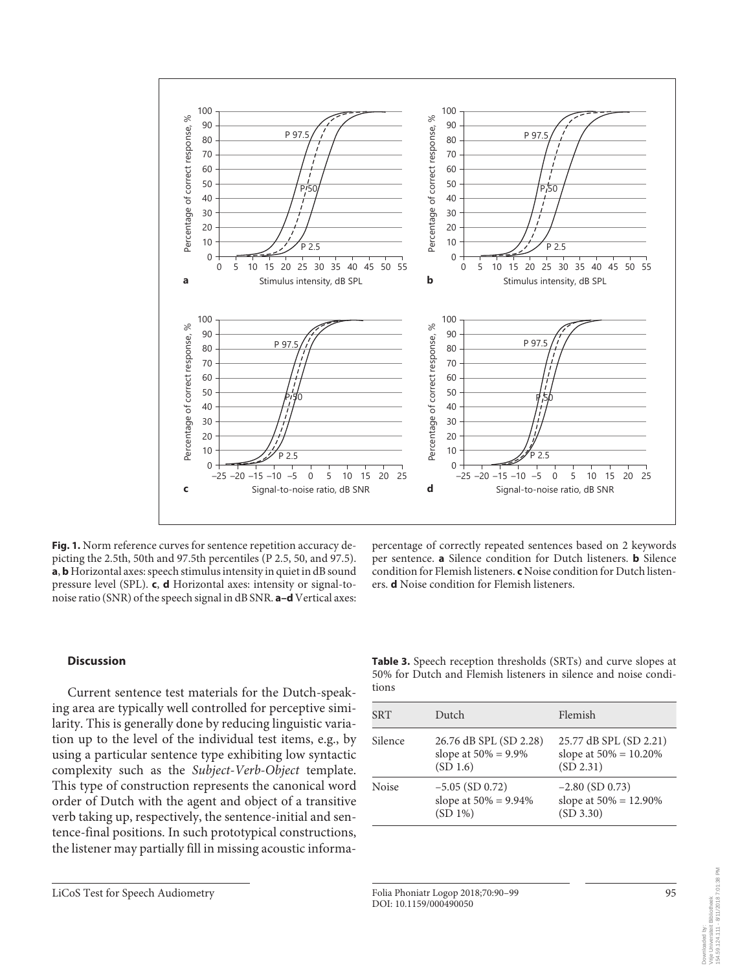

**Fig. 1.** Norm reference curves for sentence repetition accuracy depicting the 2.5th, 50th and 97.5th percentiles (P 2.5, 50, and 97.5). **a**, **b** Horizontal axes: speech stimulus intensity in quiet in dB sound pressure level (SPL). **c**, **d** Horizontal axes: intensity or signal-tonoise ratio (SNR) of the speech signal in dB SNR. **a–d** Vertical axes:

percentage of correctly repeated sentences based on 2 keywords per sentence. **a** Silence condition for Dutch listeners. **b** Silence condition for Flemish listeners. **c** Noise condition for Dutch listeners. **d** Noise condition for Flemish listeners.

## **Discussion**

Current sentence test materials for the Dutch-speaking area are typically well controlled for perceptive similarity. This is generally done by reducing linguistic variation up to the level of the individual test items, e.g., by using a particular sentence type exhibiting low syntactic complexity such as the *Subject-Verb-Object* template. This type of construction represents the canonical word order of Dutch with the agent and object of a transitive verb taking up, respectively, the sentence-initial and sentence-final positions. In such prototypical constructions,

**Table 3.** Speech reception thresholds (SRTs) and curve slopes at 50% for Dutch and Flemish listeners in silence and noise conditions

| <b>SRT</b> | Dutch                                                         | Flemish                                                          |
|------------|---------------------------------------------------------------|------------------------------------------------------------------|
| Silence    | 26.76 dB SPL (SD 2.28)<br>slope at $50\% = 9.9\%$<br>(SD 1.6) | 25.77 dB SPL (SD 2.21)<br>slope at $50\% = 10.20\%$<br>(SD 2.31) |
| Noise      | $-5.05$ (SD 0.72)<br>slope at $50\% = 9.94\%$<br>$(SD1\%)$    | $-2.80$ (SD 0.73)<br>slope at $50\% = 12.90\%$<br>(SD 3.30)      |

LiCoS Test for Speech Audiometry Folia Phoniatr Logop 2018;70:90–99 95 DOI: 10.1159/000490050

154.59.124.111 - 8/11/2018 7:01:38 PM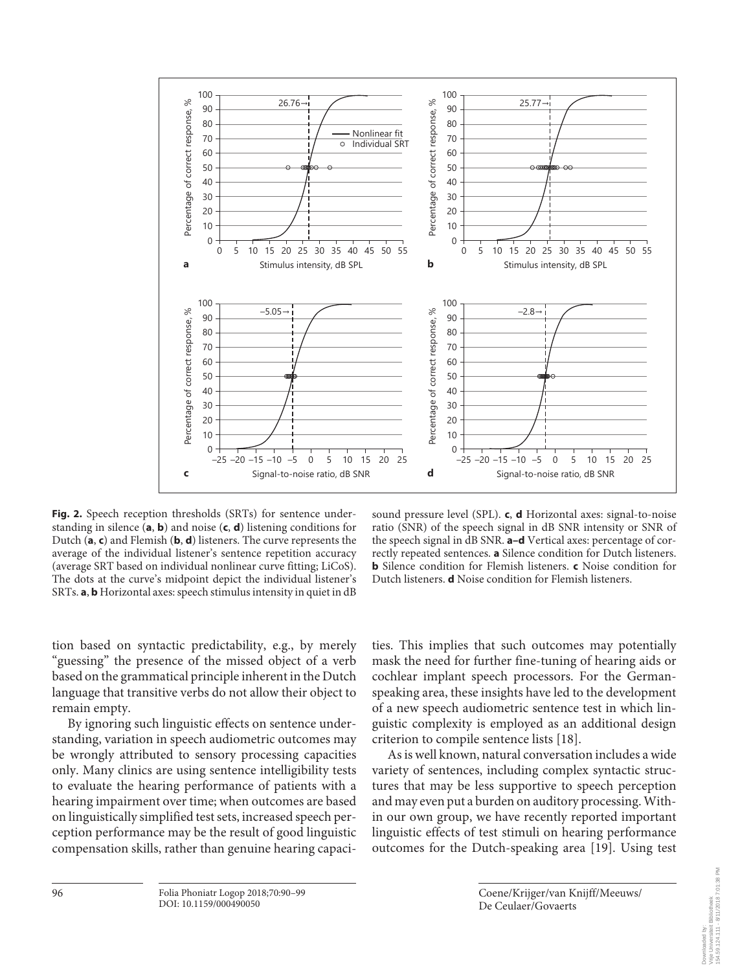

**Fig. 2.** Speech reception thresholds (SRTs) for sentence understanding in silence (**a**, **b**) and noise (**c**, **d**) listening conditions for Dutch (**a**, **c**) and Flemish (**b**, **d**) listeners. The curve represents the average of the individual listener's sentence repetition accuracy (average SRT based on individual nonlinear curve fitting; LiCoS). The dots at the curve's midpoint depict the individual listener's SRTs. **a**, **b** Horizontal axes: speech stimulus intensity in quiet in dB

sound pressure level (SPL). **c**, **d** Horizontal axes: signal-to-noise ratio (SNR) of the speech signal in dB SNR intensity or SNR of the speech signal in dB SNR. **a–d** Vertical axes: percentage of correctly repeated sentences. **a** Silence condition for Dutch listeners. **b** Silence condition for Flemish listeners. **c** Noise condition for Dutch listeners. **d** Noise condition for Flemish listeners.

tion based on syntactic predictability, e.g., by merely "guessing" the presence of the missed object of a verb based on the grammatical principle inherent in the Dutch language that transitive verbs do not allow their object to remain empty.

By ignoring such linguistic effects on sentence understanding, variation in speech audiometric outcomes may be wrongly attributed to sensory processing capacities only. Many clinics are using sentence intelligibility tests to evaluate the hearing performance of patients with a hearing impairment over time; when outcomes are based on linguistically simplified test sets, increased speech perception performance may be the result of good linguistic compensation skills, rather than genuine hearing capacities. This implies that such outcomes may potentially mask the need for further fine-tuning of hearing aids or cochlear implant speech processors. For the Germanspeaking area, these insights have led to the development of a new speech audiometric sentence test in which linguistic complexity is employed as an additional design criterion to compile sentence lists [18].

As is well known, natural conversation includes a wide variety of sentences, including complex syntactic structures that may be less supportive to speech perception and may even put a burden on auditory processing. Within our own group, we have recently reported important linguistic effects of test stimuli on hearing performance outcomes for the Dutch-speaking area [19]. Using test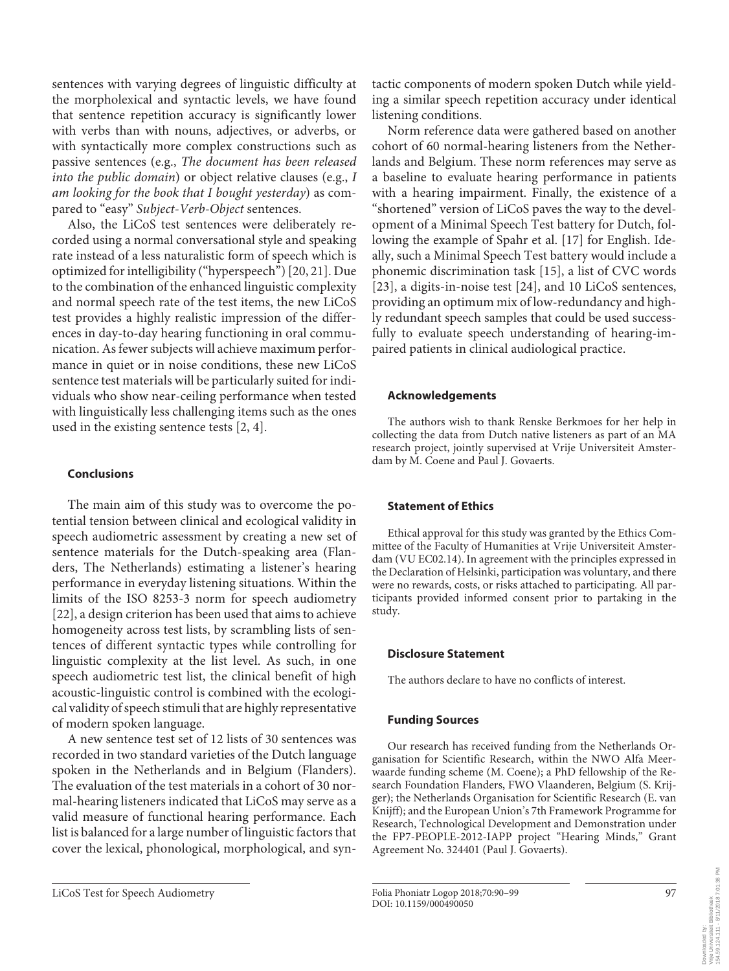sentences with varying degrees of linguistic difficulty at the morpholexical and syntactic levels, we have found that sentence repetition accuracy is significantly lower with verbs than with nouns, adjectives, or adverbs, or with syntactically more complex constructions such as passive sentences (e.g., *The document has been released into the public domain*) or object relative clauses (e.g., *I am looking for the book that I bought yesterday*) as compared to "easy" *Subject-Verb-Object* sentences.

Also, the LiCoS test sentences were deliberately recorded using a normal conversational style and speaking rate instead of a less naturalistic form of speech which is optimized for intelligibility ("hyperspeech") [20, 21]. Due to the combination of the enhanced linguistic complexity and normal speech rate of the test items, the new LiCoS test provides a highly realistic impression of the differences in day-to-day hearing functioning in oral communication. As fewer subjects will achieve maximum performance in quiet or in noise conditions, these new LiCoS sentence test materials will be particularly suited for individuals who show near-ceiling performance when tested with linguistically less challenging items such as the ones used in the existing sentence tests [2, 4].

### **Conclusions**

The main aim of this study was to overcome the potential tension between clinical and ecological validity in speech audiometric assessment by creating a new set of sentence materials for the Dutch-speaking area (Flanders, The Netherlands) estimating a listener's hearing performance in everyday listening situations. Within the limits of the ISO 8253-3 norm for speech audiometry [22], a design criterion has been used that aims to achieve homogeneity across test lists, by scrambling lists of sentences of different syntactic types while controlling for linguistic complexity at the list level. As such, in one speech audiometric test list, the clinical benefit of high acoustic-linguistic control is combined with the ecological validity of speech stimuli that are highly representative of modern spoken language.

A new sentence test set of 12 lists of 30 sentences was recorded in two standard varieties of the Dutch language spoken in the Netherlands and in Belgium (Flanders). The evaluation of the test materials in a cohort of 30 normal-hearing listeners indicated that LiCoS may serve as a valid measure of functional hearing performance. Each list is balanced for a large number of linguistic factors that cover the lexical, phonological, morphological, and syn-

LiCoS Test for Speech Audiometry Folia Phoniatr Logop 2018;70:90–99 97

tactic components of modern spoken Dutch while yielding a similar speech repetition accuracy under identical listening conditions.

Norm reference data were gathered based on another cohort of 60 normal-hearing listeners from the Netherlands and Belgium. These norm references may serve as a baseline to evaluate hearing performance in patients with a hearing impairment. Finally, the existence of a "shortened" version of LiCoS paves the way to the development of a Minimal Speech Test battery for Dutch, following the example of Spahr et al. [17] for English. Ideally, such a Minimal Speech Test battery would include a phonemic discrimination task [15], a list of CVC words [23], a digits-in-noise test [24], and 10 LiCoS sentences, providing an optimum mix of low-redundancy and highly redundant speech samples that could be used successfully to evaluate speech understanding of hearing-impaired patients in clinical audiological practice.

### **Acknowledgements**

The authors wish to thank Renske Berkmoes for her help in collecting the data from Dutch native listeners as part of an MA research project, jointly supervised at Vrije Universiteit Amsterdam by M. Coene and Paul J. Govaerts.

#### **Statement of Ethics**

Ethical approval for this study was granted by the Ethics Committee of the Faculty of Humanities at Vrije Universiteit Amsterdam (VU EC02.14). In agreement with the principles expressed in the Declaration of Helsinki, participation was voluntary, and there were no rewards, costs, or risks attached to participating. All participants provided informed consent prior to partaking in the study.

#### **Disclosure Statement**

The authors declare to have no conflicts of interest.

## **Funding Sources**

Our research has received funding from the Netherlands Organisation for Scientific Research, within the NWO Alfa Meerwaarde funding scheme (M. Coene); a PhD fellowship of the Research Foundation Flanders, FWO Vlaanderen, Belgium (S. Krijger); the Netherlands Organisation for Scientific Research (E. van Knijff); and the European Union's 7th Framework Programme for Research, Technological Development and Demonstration under the FP7-PEOPLE-2012-IAPP project "Hearing Minds," Grant Agreement No. 324401 (Paul J. Govaerts).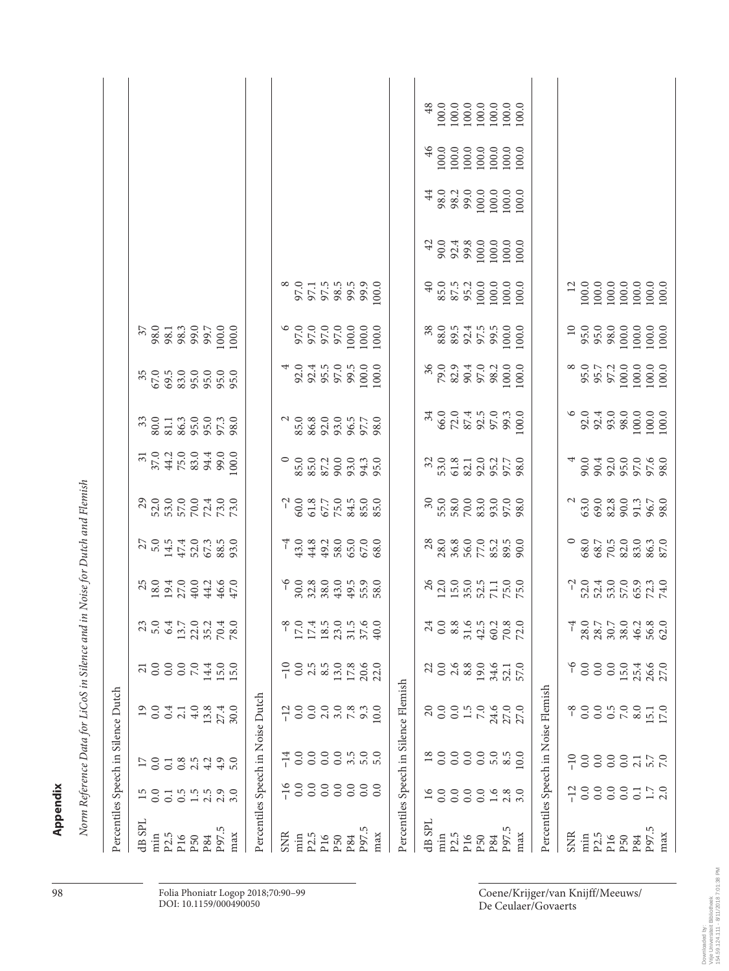|                          |                  |                                            | Percentiles Speech in Silence Dutch   |                                      |                                                                                                                                                                                                                                                                                                                                                 |                                                                                                                                                                                                                                                                                                               |                                                                                                                                                                                                                                                                                                               |                                                                                                                                                                                                                                                                                                                 |                                                                                                                                                                                                                                                                                                     |                                                                                                                                                                                                                                                                                                     |                                                                    |                                                                                                                  |                                                                                                                 |                                                                                                                                                                                                                                                                                                               |                                                                                                                                                                                                                                                                                       |                                                                                               |
|--------------------------|------------------|--------------------------------------------|---------------------------------------|--------------------------------------|-------------------------------------------------------------------------------------------------------------------------------------------------------------------------------------------------------------------------------------------------------------------------------------------------------------------------------------------------|---------------------------------------------------------------------------------------------------------------------------------------------------------------------------------------------------------------------------------------------------------------------------------------------------------------|---------------------------------------------------------------------------------------------------------------------------------------------------------------------------------------------------------------------------------------------------------------------------------------------------------------|-----------------------------------------------------------------------------------------------------------------------------------------------------------------------------------------------------------------------------------------------------------------------------------------------------------------|-----------------------------------------------------------------------------------------------------------------------------------------------------------------------------------------------------------------------------------------------------------------------------------------------------|-----------------------------------------------------------------------------------------------------------------------------------------------------------------------------------------------------------------------------------------------------------------------------------------------------|--------------------------------------------------------------------|------------------------------------------------------------------------------------------------------------------|-----------------------------------------------------------------------------------------------------------------|---------------------------------------------------------------------------------------------------------------------------------------------------------------------------------------------------------------------------------------------------------------------------------------------------------------|---------------------------------------------------------------------------------------------------------------------------------------------------------------------------------------------------------------------------------------------------------------------------------------|-----------------------------------------------------------------------------------------------|
| <b>dB</b> SPL            | $^{15}_{0.0}$    | $^{17}_{0.0}$                              | $^{0.0}_{0.0}$                        | $\overline{c}$                       | $\begin{array}{c} 23 \\ 5.0 \\ 6.4 \\ 13.0 \\ 24.0 \\ 14.0 \\ 25.0 \\ 26.0 \\ 27.0 \\ 28.0 \\ 29.0 \\ 20.0 \\ 20.0 \\ 20.0 \\ 25.0 \\ 28.0 \\ 29.0 \\ 20.0 \\ 20.0 \\ 20.0 \\ 20.0 \\ 20.0 \\ 20.0 \\ 20.0 \\ 20.0 \\ 20.0 \\ 20.0 \\ 20.0 \\ 20.0 \\ 20.0 \\ 20.0 \\ 20.0 \\ 20.0 \\ 20.0 \\ 20.0 \\ 20.0 \\ $                                 | $\begin{array}{c} 13.9 \\ 18.9 \\ 19.7 \\ 19.8 \\ 10.9 \\ 11.9 \\ 13.9 \\ 14.9 \\ 15.9 \\ 16.9 \\ 17.9 \\ 19.9 \\ 19.9 \\ 19.9 \\ 19.9 \\ 19.9 \\ 19.9 \\ 19.9 \\ 19.9 \\ 19.9 \\ 19.9 \\ 19.9 \\ 19.9 \\ 19.9 \\ 19.9 \\ 19.9 \\ 19.9 \\ 19.9 \\ 19.9 \\ 19.9 \\ 19.9 \\ 19.9 \\ 19.9 \\ 19.9 \\ 19.9 \\ 19$ |                                                                                                                                                                                                                                                                                                               | $\begin{array}{c} 29 \\ 200 \\ 53.5 \\ 55.5 \\ 65.7 \\ 73.0 \\ 73.0 \\ 73.0 \\ 73.0 \\ 73.0 \\ 73.0 \\ 73.0 \\ 73.0 \\ 73.0 \\ 73.0 \\ 73.0 \\ 73.0 \\ 73.0 \\ 73.0 \\ 73.0 \\ 73.0 \\ 73.0 \\ 73.0 \\ 73.0 \\ 73.0 \\ 73.0 \\ 73.0 \\ 73.0 \\ 73.0 \\ 73.0 \\ 73.0 \\ 73.0 \\ 73.0 \\ 73.0 \\ 73.0 \\ 73.0 \\$ | $\begin{array}{c} 31.7 \\ 37.0 \\ 47.0 \\ 50.0 \\ 50.0 \\ 70.0 \\ 83.0 \\ 90.0 \\ 100 \\ \end{array}$                                                                                                                                                                                               | $\begin{array}{c} 33 \\ 30.0 \\ 80.1 \\ 85.3 \\ 86.9 \\ 95.0 \\ 98.0 \\ 98.0 \\ \end{array}$                                                                                                                                                                                                        |                                                                    | $37$<br>$38.3$<br>$38.3$<br>$39.5$<br>$39.5$<br>$30.0$<br>$30.0$<br>$37$<br>$38.3$<br>$39.5$<br>$30.0$<br>$30.0$ |                                                                                                                 |                                                                                                                                                                                                                                                                                                               |                                                                                                                                                                                                                                                                                       |                                                                                               |
| min                      |                  |                                            |                                       | 0.0<br>0.0                           |                                                                                                                                                                                                                                                                                                                                                 |                                                                                                                                                                                                                                                                                                               |                                                                                                                                                                                                                                                                                                               |                                                                                                                                                                                                                                                                                                                 |                                                                                                                                                                                                                                                                                                     |                                                                                                                                                                                                                                                                                                     |                                                                    |                                                                                                                  |                                                                                                                 |                                                                                                                                                                                                                                                                                                               |                                                                                                                                                                                                                                                                                       |                                                                                               |
| P2.5<br>P16              | $\overline{0.1}$ | $38.9900$<br>$38.9900$                     | 0.4<br>2.1                            | 0.0                                  |                                                                                                                                                                                                                                                                                                                                                 |                                                                                                                                                                                                                                                                                                               |                                                                                                                                                                                                                                                                                                               |                                                                                                                                                                                                                                                                                                                 |                                                                                                                                                                                                                                                                                                     |                                                                                                                                                                                                                                                                                                     |                                                                    |                                                                                                                  |                                                                                                                 |                                                                                                                                                                                                                                                                                                               |                                                                                                                                                                                                                                                                                       |                                                                                               |
| P50                      |                  |                                            | 4.0                                   | 7.0                                  |                                                                                                                                                                                                                                                                                                                                                 |                                                                                                                                                                                                                                                                                                               |                                                                                                                                                                                                                                                                                                               |                                                                                                                                                                                                                                                                                                                 |                                                                                                                                                                                                                                                                                                     |                                                                                                                                                                                                                                                                                                     |                                                                    |                                                                                                                  |                                                                                                                 |                                                                                                                                                                                                                                                                                                               |                                                                                                                                                                                                                                                                                       |                                                                                               |
| P84                      |                  |                                            | 13.8                                  | 14.4                                 |                                                                                                                                                                                                                                                                                                                                                 |                                                                                                                                                                                                                                                                                                               |                                                                                                                                                                                                                                                                                                               |                                                                                                                                                                                                                                                                                                                 |                                                                                                                                                                                                                                                                                                     |                                                                                                                                                                                                                                                                                                     |                                                                    |                                                                                                                  |                                                                                                                 |                                                                                                                                                                                                                                                                                                               |                                                                                                                                                                                                                                                                                       |                                                                                               |
| P97.5                    | 0.5900           |                                            |                                       |                                      |                                                                                                                                                                                                                                                                                                                                                 |                                                                                                                                                                                                                                                                                                               |                                                                                                                                                                                                                                                                                                               |                                                                                                                                                                                                                                                                                                                 |                                                                                                                                                                                                                                                                                                     |                                                                                                                                                                                                                                                                                                     |                                                                    |                                                                                                                  |                                                                                                                 |                                                                                                                                                                                                                                                                                                               |                                                                                                                                                                                                                                                                                       |                                                                                               |
| max                      |                  |                                            | 27.4<br>30.0                          | 15.0<br>15.0                         |                                                                                                                                                                                                                                                                                                                                                 |                                                                                                                                                                                                                                                                                                               |                                                                                                                                                                                                                                                                                                               |                                                                                                                                                                                                                                                                                                                 |                                                                                                                                                                                                                                                                                                     |                                                                                                                                                                                                                                                                                                     |                                                                    |                                                                                                                  |                                                                                                                 |                                                                                                                                                                                                                                                                                                               |                                                                                                                                                                                                                                                                                       |                                                                                               |
|                          |                  |                                            | Percentiles Speech in Noise Dutch     |                                      |                                                                                                                                                                                                                                                                                                                                                 |                                                                                                                                                                                                                                                                                                               |                                                                                                                                                                                                                                                                                                               |                                                                                                                                                                                                                                                                                                                 |                                                                                                                                                                                                                                                                                                     |                                                                                                                                                                                                                                                                                                     |                                                                    |                                                                                                                  |                                                                                                                 |                                                                                                                                                                                                                                                                                                               |                                                                                                                                                                                                                                                                                       |                                                                                               |
| <b>SNIR</b>              | $-16$            | $-14$                                      | $-12$                                 | $-10$                                |                                                                                                                                                                                                                                                                                                                                                 |                                                                                                                                                                                                                                                                                                               |                                                                                                                                                                                                                                                                                                               |                                                                                                                                                                                                                                                                                                                 |                                                                                                                                                                                                                                                                                                     |                                                                                                                                                                                                                                                                                                     |                                                                    |                                                                                                                  |                                                                                                                 |                                                                                                                                                                                                                                                                                                               |                                                                                                                                                                                                                                                                                       |                                                                                               |
| min                      | 0.0              | 0.0                                        | 0.0                                   | 0.0                                  |                                                                                                                                                                                                                                                                                                                                                 |                                                                                                                                                                                                                                                                                                               |                                                                                                                                                                                                                                                                                                               |                                                                                                                                                                                                                                                                                                                 |                                                                                                                                                                                                                                                                                                     |                                                                                                                                                                                                                                                                                                     |                                                                    |                                                                                                                  |                                                                                                                 |                                                                                                                                                                                                                                                                                                               |                                                                                                                                                                                                                                                                                       |                                                                                               |
| P2.5                     | $_{0.0}^{0.0}$   | 0.0                                        | 0.0                                   | $2.\overline{5}$<br>8.5              | $-8$<br>17.0<br>17.13.0<br>18.0<br>20.0<br>30.0                                                                                                                                                                                                                                                                                                 |                                                                                                                                                                                                                                                                                                               | 49.8986688688                                                                                                                                                                                                                                                                                                 |                                                                                                                                                                                                                                                                                                                 |                                                                                                                                                                                                                                                                                                     | $\begin{array}{c} 28.08 \\ 26.08 \\ 28.08 \\ 28.08 \\ 29.08 \\ 29.08 \\ 29.08 \\ 29.08 \\ 29.08 \\ 29.08 \\ 29.08 \\ 29.08 \\ 29.08 \\ 29.08 \\ 29.08 \\ 29.08 \\ 29.08 \\ 29.08 \\ 29.08 \\ 29.08 \\ 29.08 \\ 29.08 \\ 29.08 \\ 29.08 \\ 29.08 \\ 29.08 \\ 29.08 \\ 29.08 \\ 29.08 \\ 29.08 \\ 29$ | $40.45$<br>$92.45$<br>$95.5$<br>$95.5$                             |                                                                                                                  |                                                                                                                 |                                                                                                                                                                                                                                                                                                               |                                                                                                                                                                                                                                                                                       |                                                                                               |
| P16                      |                  |                                            | 2.0                                   |                                      |                                                                                                                                                                                                                                                                                                                                                 |                                                                                                                                                                                                                                                                                                               |                                                                                                                                                                                                                                                                                                               |                                                                                                                                                                                                                                                                                                                 |                                                                                                                                                                                                                                                                                                     |                                                                                                                                                                                                                                                                                                     |                                                                    |                                                                                                                  |                                                                                                                 |                                                                                                                                                                                                                                                                                                               |                                                                                                                                                                                                                                                                                       |                                                                                               |
| P50                      | 0.0              | 0.0                                        | 3.0                                   | $13.0$<br>$17.8$<br>$20.6$<br>$22.0$ |                                                                                                                                                                                                                                                                                                                                                 |                                                                                                                                                                                                                                                                                                               |                                                                                                                                                                                                                                                                                                               |                                                                                                                                                                                                                                                                                                                 |                                                                                                                                                                                                                                                                                                     |                                                                                                                                                                                                                                                                                                     |                                                                    |                                                                                                                  |                                                                                                                 |                                                                                                                                                                                                                                                                                                               |                                                                                                                                                                                                                                                                                       |                                                                                               |
| P84                      | $_{0.0}^{0.0}$   | 3.0000000                                  | 7.8                                   |                                      |                                                                                                                                                                                                                                                                                                                                                 |                                                                                                                                                                                                                                                                                                               |                                                                                                                                                                                                                                                                                                               |                                                                                                                                                                                                                                                                                                                 |                                                                                                                                                                                                                                                                                                     |                                                                                                                                                                                                                                                                                                     | 99.5<br>100.0<br>100.0                                             |                                                                                                                  |                                                                                                                 |                                                                                                                                                                                                                                                                                                               |                                                                                                                                                                                                                                                                                       |                                                                                               |
| P97.5                    |                  |                                            | $9.3$<br>10.0                         |                                      |                                                                                                                                                                                                                                                                                                                                                 |                                                                                                                                                                                                                                                                                                               |                                                                                                                                                                                                                                                                                                               |                                                                                                                                                                                                                                                                                                                 |                                                                                                                                                                                                                                                                                                     |                                                                                                                                                                                                                                                                                                     |                                                                    |                                                                                                                  |                                                                                                                 |                                                                                                                                                                                                                                                                                                               |                                                                                                                                                                                                                                                                                       |                                                                                               |
| max                      | 0.0              |                                            |                                       |                                      |                                                                                                                                                                                                                                                                                                                                                 |                                                                                                                                                                                                                                                                                                               |                                                                                                                                                                                                                                                                                                               |                                                                                                                                                                                                                                                                                                                 |                                                                                                                                                                                                                                                                                                     |                                                                                                                                                                                                                                                                                                     |                                                                    |                                                                                                                  |                                                                                                                 |                                                                                                                                                                                                                                                                                                               |                                                                                                                                                                                                                                                                                       |                                                                                               |
|                          |                  |                                            | Percentiles Speech in Silence Flemish |                                      |                                                                                                                                                                                                                                                                                                                                                 |                                                                                                                                                                                                                                                                                                               |                                                                                                                                                                                                                                                                                                               |                                                                                                                                                                                                                                                                                                                 |                                                                                                                                                                                                                                                                                                     |                                                                                                                                                                                                                                                                                                     |                                                                    |                                                                                                                  |                                                                                                                 |                                                                                                                                                                                                                                                                                                               |                                                                                                                                                                                                                                                                                       |                                                                                               |
| <b>URSBL</b>             | $\overline{16}$  | 18                                         | $\overline{c}$                        | 22                                   |                                                                                                                                                                                                                                                                                                                                                 |                                                                                                                                                                                                                                                                                                               |                                                                                                                                                                                                                                                                                                               |                                                                                                                                                                                                                                                                                                                 |                                                                                                                                                                                                                                                                                                     |                                                                                                                                                                                                                                                                                                     |                                                                    | 38                                                                                                               | $\mathfrak{g}$                                                                                                  |                                                                                                                                                                                                                                                                                                               | $\frac{9}{4}$                                                                                                                                                                                                                                                                         |                                                                                               |
| min                      | 0.0              | 0.0                                        | $_{0.0}^{0.0}$                        | $0.0$<br>2.6                         |                                                                                                                                                                                                                                                                                                                                                 |                                                                                                                                                                                                                                                                                                               |                                                                                                                                                                                                                                                                                                               |                                                                                                                                                                                                                                                                                                                 |                                                                                                                                                                                                                                                                                                     |                                                                                                                                                                                                                                                                                                     |                                                                    |                                                                                                                  |                                                                                                                 |                                                                                                                                                                                                                                                                                                               |                                                                                                                                                                                                                                                                                       |                                                                                               |
| P <sub>2.5</sub>         |                  |                                            |                                       |                                      |                                                                                                                                                                                                                                                                                                                                                 |                                                                                                                                                                                                                                                                                                               |                                                                                                                                                                                                                                                                                                               |                                                                                                                                                                                                                                                                                                                 |                                                                                                                                                                                                                                                                                                     |                                                                                                                                                                                                                                                                                                     |                                                                    |                                                                                                                  |                                                                                                                 |                                                                                                                                                                                                                                                                                                               |                                                                                                                                                                                                                                                                                       |                                                                                               |
| P16                      |                  | $0.0\,$                                    | 1.5                                   | 8.8                                  |                                                                                                                                                                                                                                                                                                                                                 |                                                                                                                                                                                                                                                                                                               |                                                                                                                                                                                                                                                                                                               |                                                                                                                                                                                                                                                                                                                 |                                                                                                                                                                                                                                                                                                     |                                                                                                                                                                                                                                                                                                     |                                                                    |                                                                                                                  |                                                                                                                 |                                                                                                                                                                                                                                                                                                               |                                                                                                                                                                                                                                                                                       |                                                                                               |
| P50                      |                  | 0.0                                        | 7.0                                   | 19.0                                 |                                                                                                                                                                                                                                                                                                                                                 |                                                                                                                                                                                                                                                                                                               |                                                                                                                                                                                                                                                                                                               |                                                                                                                                                                                                                                                                                                                 |                                                                                                                                                                                                                                                                                                     |                                                                                                                                                                                                                                                                                                     |                                                                    |                                                                                                                  |                                                                                                                 |                                                                                                                                                                                                                                                                                                               |                                                                                                                                                                                                                                                                                       |                                                                                               |
| P84                      |                  |                                            | 24.6                                  | 34.6                                 |                                                                                                                                                                                                                                                                                                                                                 |                                                                                                                                                                                                                                                                                                               |                                                                                                                                                                                                                                                                                                               |                                                                                                                                                                                                                                                                                                                 |                                                                                                                                                                                                                                                                                                     |                                                                                                                                                                                                                                                                                                     |                                                                    |                                                                                                                  |                                                                                                                 |                                                                                                                                                                                                                                                                                                               |                                                                                                                                                                                                                                                                                       |                                                                                               |
| P97.5<br>max             | 000800<br>00100  | $\begin{array}{c} 8.5 \\ 10.0 \end{array}$ | 27.0                                  | 52.1<br>57.0                         |                                                                                                                                                                                                                                                                                                                                                 | $\begin{array}{c} 26 \\ 12.0 \\ 15.5 \\ 36.1 \\ 17.0 \\ 20.0 \\ 11.0 \\ 20.0 \\ 20.0 \\ 20.0 \\ 20.0 \\ 20.0 \\ 20.0 \\ 20.0 \\ 20.0 \\ 20.0 \\ 20.0 \\ 20.0 \\ 20.0 \\ 20.0 \\ 20.0 \\ 20.0 \\ 20.0 \\ 20.0 \\ 20.0 \\ 20.0 \\ 20.0 \\ 20.0 \\ 20.0 \\ 20.0 \\ 20.0 \\ 20.0 \\ 20.0 \\ 20.0 \\ 20.0 \\ 20.0$ | $\begin{array}{c} 28 \\ 28.0 \\ 28.6 \\ 29.7 \\ 20.9 \\ 20.0 \\ 20.0 \\ 20.0 \\ 20.0 \\ 20.0 \\ 20.0 \\ 20.0 \\ 20.0 \\ 20.0 \\ 20.0 \\ 20.0 \\ 20.0 \\ 20.0 \\ 20.0 \\ 20.0 \\ 20.0 \\ 20.0 \\ 20.0 \\ 20.0 \\ 20.0 \\ 20.0 \\ 20.0 \\ 20.0 \\ 20.0 \\ 20.0 \\ 20.0 \\ 20.0 \\ 20.0 \\ 20.0 \\ 20.0 \\ 20.0$ |                                                                                                                                                                                                                                                                                                                 | $\begin{array}{c} 32.08 \\ 33.08 \\ 53.19 \\ 64.08 \\ 75.09 \\ 80.09 \\ 75.09 \\ 80.09 \\ 98.09 \\ 98.09 \\ 98.09 \\ 98.09 \\ 98.09 \\ 98.09 \\ 98.09 \\ 98.09 \\ 98.09 \\ 98.09 \\ 98.09 \\ 98.09 \\ 98.09 \\ 98.09 \\ 98.09 \\ 98.09 \\ 98.09 \\ 98.09 \\ 98.09 \\ 98.09 \\ 98.09 \\ 98.09 \\ 98$ |                                                                                                                                                                                                                                                                                                     |                                                                    |                                                                                                                  | 85.0<br>87.5<br>87.2<br>95.2<br>100.0<br>100.0<br>100.0                                                         | $\begin{array}{c} 42 \\ 90.0 \\ 90.0 \\ 90.0 \\ 1000 \\ 1000 \\ 1000 \\ 1000 \\ 1000 \\ 1000 \\ 1000 \\ 1000 \\ 1000 \\ 1000 \\ 1000 \\ 1000 \\ 1000 \\ 1000 \\ 1000 \\ 1000 \\ 1000 \\ 1000 \\ 1000 \\ 1000 \\ 1000 \\ 1000 \\ 1000 \\ 1000 \\ 1000 \\ 1000 \\ 1000 \\ 1000 \\ 1000 \\ 1000 \\ 1000 \\ 1000$ | $\begin{array}{l} 1\,00.0 \\ 1\,00.0 \\ 1\,00.0 \\ 1\,00.0 \\ 1\,00.0 \\ 1\,00.0 \\ 1\,00.0 \\ 1\,00.0 \\ 1\,00.0 \\ 1\,00.0 \\ 1\,00.0 \\ 1\,00.0 \\ 1\,00.0 \\ 1\,00.0 \\ 1\,00.0 \\ 1\,00.0 \\ 1\,00.0 \\ 1\,00.0 \\ 1\,00.0 \\ 1\,00.0 \\ 1\,00.0 \\ 1\,00.0 \\ 1\,00.0 \\ 1\,00$ | $\begin{array}{r} 48 \\ 400.0 \\ 0000 \\ 0000 \\ 0000 \\ 0000 \\ 0000 \\ 0000 \\ \end{array}$ |
|                          |                  |                                            |                                       |                                      |                                                                                                                                                                                                                                                                                                                                                 |                                                                                                                                                                                                                                                                                                               |                                                                                                                                                                                                                                                                                                               |                                                                                                                                                                                                                                                                                                                 |                                                                                                                                                                                                                                                                                                     |                                                                                                                                                                                                                                                                                                     |                                                                    |                                                                                                                  |                                                                                                                 |                                                                                                                                                                                                                                                                                                               |                                                                                                                                                                                                                                                                                       |                                                                                               |
|                          |                  |                                            | Percentiles Speech in Noise Flemish   |                                      |                                                                                                                                                                                                                                                                                                                                                 |                                                                                                                                                                                                                                                                                                               |                                                                                                                                                                                                                                                                                                               |                                                                                                                                                                                                                                                                                                                 |                                                                                                                                                                                                                                                                                                     |                                                                                                                                                                                                                                                                                                     |                                                                    |                                                                                                                  |                                                                                                                 |                                                                                                                                                                                                                                                                                                               |                                                                                                                                                                                                                                                                                       |                                                                                               |
| <b>SNIR</b>              |                  | $-10$                                      |                                       | $\widetilde{\phantom{0}}$            |                                                                                                                                                                                                                                                                                                                                                 |                                                                                                                                                                                                                                                                                                               |                                                                                                                                                                                                                                                                                                               |                                                                                                                                                                                                                                                                                                                 |                                                                                                                                                                                                                                                                                                     |                                                                                                                                                                                                                                                                                                     |                                                                    | $\approx$                                                                                                        |                                                                                                                 |                                                                                                                                                                                                                                                                                                               |                                                                                                                                                                                                                                                                                       |                                                                                               |
| min                      | $\frac{12}{0.0}$ | 0.0                                        | $\frac{8}{6}$                         | 0.0                                  |                                                                                                                                                                                                                                                                                                                                                 |                                                                                                                                                                                                                                                                                                               |                                                                                                                                                                                                                                                                                                               |                                                                                                                                                                                                                                                                                                                 |                                                                                                                                                                                                                                                                                                     |                                                                                                                                                                                                                                                                                                     |                                                                    |                                                                                                                  |                                                                                                                 |                                                                                                                                                                                                                                                                                                               |                                                                                                                                                                                                                                                                                       |                                                                                               |
| P2.5                     | 0.0              |                                            | 0.5                                   | 0.0                                  |                                                                                                                                                                                                                                                                                                                                                 |                                                                                                                                                                                                                                                                                                               |                                                                                                                                                                                                                                                                                                               |                                                                                                                                                                                                                                                                                                                 |                                                                                                                                                                                                                                                                                                     |                                                                                                                                                                                                                                                                                                     |                                                                    |                                                                                                                  |                                                                                                                 |                                                                                                                                                                                                                                                                                                               |                                                                                                                                                                                                                                                                                       |                                                                                               |
| P16                      |                  |                                            |                                       | 0.0                                  |                                                                                                                                                                                                                                                                                                                                                 |                                                                                                                                                                                                                                                                                                               |                                                                                                                                                                                                                                                                                                               |                                                                                                                                                                                                                                                                                                                 |                                                                                                                                                                                                                                                                                                     |                                                                                                                                                                                                                                                                                                     |                                                                    |                                                                                                                  |                                                                                                                 |                                                                                                                                                                                                                                                                                                               |                                                                                                                                                                                                                                                                                       |                                                                                               |
| P50                      | 0.0              |                                            | $7.0\,$                               |                                      |                                                                                                                                                                                                                                                                                                                                                 |                                                                                                                                                                                                                                                                                                               |                                                                                                                                                                                                                                                                                                               |                                                                                                                                                                                                                                                                                                                 |                                                                                                                                                                                                                                                                                                     |                                                                                                                                                                                                                                                                                                     |                                                                    |                                                                                                                  |                                                                                                                 |                                                                                                                                                                                                                                                                                                               |                                                                                                                                                                                                                                                                                       |                                                                                               |
| P84                      | 0.1              | 0000110                                    | 8.0                                   | 15.0<br>25.4<br>27.0<br>27.0         | $\begin{array}{c}\n 40.75 \\  - 20.75 \\  20.75 \\  - 20.75 \\  - 20.75 \\  - 20.75 \\  - 20.75 \\  - 20.75 \\  - 20.75 \\  - 20.75 \\  - 20.75 \\  - 20.75 \\  - 20.75 \\  - 20.75 \\  - 20.75 \\  - 20.75 \\  - 20.75 \\  - 20.75 \\  - 20.75 \\  - 20.75 \\  - 20.75 \\  - 20.75 \\  - 20.75 \\  - 20.75 \\  - 20.75 \\  - 20.75 \\  - 20.7$ | $\begin{array}{c} 10.00000 \\ -0.000000 \\ -0.000000 \\ -0.000000 \\ -0.000000 \\ -0.000000 \\ -0.000000 \\ -0.000000 \\ -0.000000 \\ -0.000000 \\ -0.000000 \\ -0.000000 \\ -0.000000 \\ -0.000000 \\ -0.000000 \\ -0.000000 \\ -0.000000 \\ -0.000000 \\ -0.000000 \\ -0.000000 \\ -0.000000 \\ -0.$        |                                                                                                                                                                                                                                                                                                               | $\begin{array}{c} 2800 \\ 20000 \\ 20000 \\ 20000 \\ 20000 \\ 20000 \\ 20000 \\ 20000 \\ 20000 \\ 20000 \\ 20000 \\ 20000 \\ 20000 \\ 20000 \\ 20000 \\ 20000 \\ 20000 \\ 20000 \\ 20000 \\ 20000 \\ 20000 \\ 20000 \\ 20000 \\ 20000 \\ 20000 \\ 20000 \\ 20000 \\ 20000 \\ 20000 \\ 20000 \\ 200$             |                                                                                                                                                                                                                                                                                                     |                                                                                                                                                                                                                                                                                                     | 8<br>95.7<br>95.7<br>95.7<br>95.7<br>95.0<br>90.0<br>00.0<br>100.0 | 95.0<br>95.0<br>98.0<br>100.0<br>100.0<br>100.0                                                                  | $\begin{array}{l} 100.0 \\ 100.0 \\ 100.0 \\ 100.0 \\ 100.0 \\ 100.0 \\ 100.0 \\ 100.0 \\ 100.0 \\ \end{array}$ |                                                                                                                                                                                                                                                                                                               |                                                                                                                                                                                                                                                                                       |                                                                                               |
| $_{\rm max}^{\rm 197.5}$ | $1.7$<br>2.0     |                                            | 15.1<br>17.0                          |                                      |                                                                                                                                                                                                                                                                                                                                                 |                                                                                                                                                                                                                                                                                                               |                                                                                                                                                                                                                                                                                                               |                                                                                                                                                                                                                                                                                                                 |                                                                                                                                                                                                                                                                                                     |                                                                                                                                                                                                                                                                                                     |                                                                    |                                                                                                                  |                                                                                                                 |                                                                                                                                                                                                                                                                                                               |                                                                                                                                                                                                                                                                                       |                                                                                               |
|                          |                  |                                            |                                       |                                      |                                                                                                                                                                                                                                                                                                                                                 |                                                                                                                                                                                                                                                                                                               |                                                                                                                                                                                                                                                                                                               |                                                                                                                                                                                                                                                                                                                 |                                                                                                                                                                                                                                                                                                     |                                                                                                                                                                                                                                                                                                     |                                                                    |                                                                                                                  |                                                                                                                 |                                                                                                                                                                                                                                                                                                               |                                                                                                                                                                                                                                                                                       |                                                                                               |

Norm Reference Data for LiCoS in Silence and in Noise for Dutch and Flemish *Norm Reference Data for LiCoS in Silence and in Noise for Dutch and Flemish*

98 Folia Phoniatr Logop 2018;70:90–99 DOI: 10.1159/000490050

Coene/Krijger/van Knijff/Meeuws/ De Ceulaer/Govaerts

**Appendix**